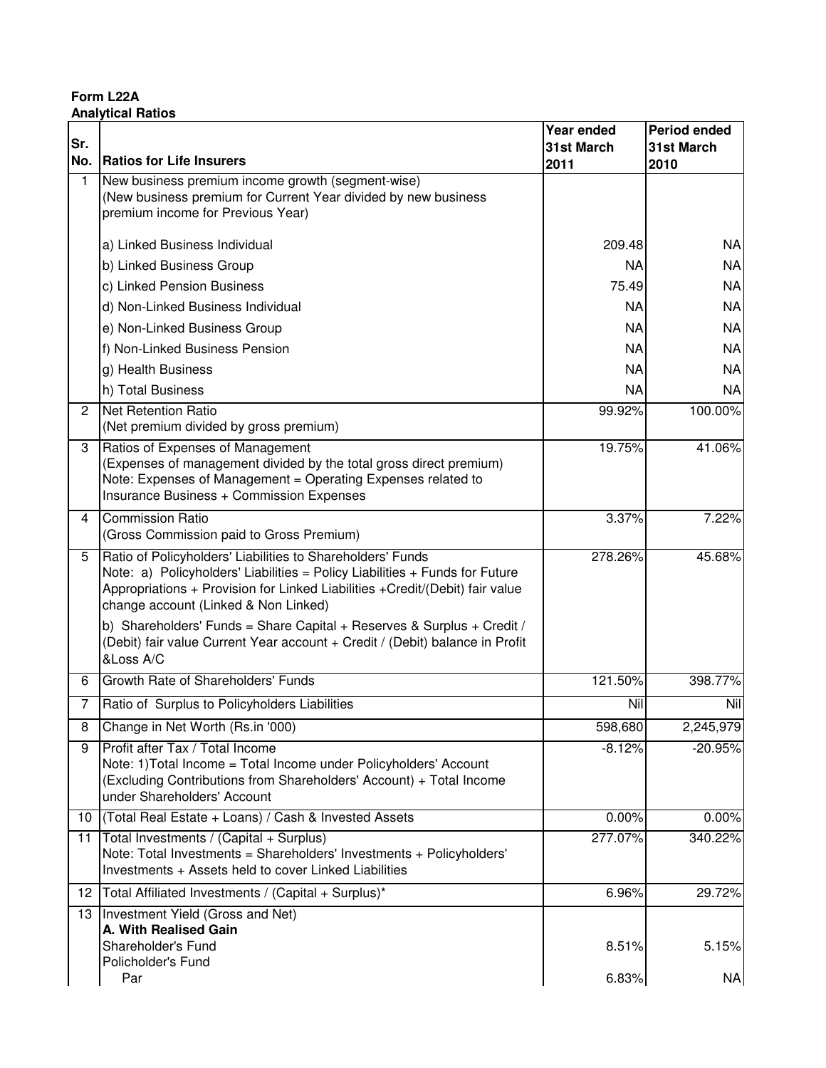**Form L22A Analytical Ratios**

|                      |                                                                                                                                                                                                                                                                    | Year ended | <b>Period ended</b> |
|----------------------|--------------------------------------------------------------------------------------------------------------------------------------------------------------------------------------------------------------------------------------------------------------------|------------|---------------------|
| Sr.                  |                                                                                                                                                                                                                                                                    | 31st March | 31st March          |
|                      | No. Ratios for Life Insurers                                                                                                                                                                                                                                       | 2011       | 2010                |
| $\mathbf{1}$         | New business premium income growth (segment-wise)<br>(New business premium for Current Year divided by new business<br>premium income for Previous Year)                                                                                                           |            |                     |
|                      | a) Linked Business Individual                                                                                                                                                                                                                                      | 209.48     | <b>NA</b>           |
|                      | b) Linked Business Group                                                                                                                                                                                                                                           | <b>NA</b>  | <b>NA</b>           |
|                      | c) Linked Pension Business                                                                                                                                                                                                                                         | 75.49      | <b>NA</b>           |
|                      | d) Non-Linked Business Individual                                                                                                                                                                                                                                  | <b>NA</b>  | <b>NA</b>           |
|                      | e) Non-Linked Business Group                                                                                                                                                                                                                                       | <b>NA</b>  | <b>NA</b>           |
|                      | f) Non-Linked Business Pension                                                                                                                                                                                                                                     | <b>NA</b>  | <b>NA</b>           |
|                      | g) Health Business                                                                                                                                                                                                                                                 | <b>NA</b>  | <b>NA</b>           |
|                      | h) Total Business                                                                                                                                                                                                                                                  | <b>NA</b>  | <b>NA</b>           |
| $\mathbf{2}^{\circ}$ | <b>Net Retention Ratio</b><br>(Net premium divided by gross premium)                                                                                                                                                                                               | 99.92%     | 100.00%             |
| 3                    | Ratios of Expenses of Management<br>(Expenses of management divided by the total gross direct premium)<br>Note: Expenses of Management = Operating Expenses related to<br>Insurance Business + Commission Expenses                                                 | 19.75%     | 41.06%              |
| 4                    | <b>Commission Ratio</b><br>(Gross Commission paid to Gross Premium)                                                                                                                                                                                                | 3.37%      | 7.22%               |
| 5                    | Ratio of Policyholders' Liabilities to Shareholders' Funds<br>Note: a) Policyholders' Liabilities = Policy Liabilities + Funds for Future<br>Appropriations + Provision for Linked Liabilities + Credit/(Debit) fair value<br>change account (Linked & Non Linked) | 278.26%    | 45.68%              |
|                      | b) Shareholders' Funds = Share Capital + Reserves & Surplus + Credit /<br>(Debit) fair value Current Year account + Credit / (Debit) balance in Profit<br>&Loss A/C                                                                                                |            |                     |
| 6                    | Growth Rate of Shareholders' Funds                                                                                                                                                                                                                                 | 121.50%    | 398.77%             |
|                      | Ratio of Surplus to Policyholders Liabilities                                                                                                                                                                                                                      | Nil        | Nil                 |
| 8                    | Change in Net Worth (Rs.in '000)                                                                                                                                                                                                                                   | 598,680    | 2,245,979           |
| 9                    | Profit after Tax / Total Income<br>Note: 1) Total Income = Total Income under Policyholders' Account<br>(Excluding Contributions from Shareholders' Account) + Total Income<br>under Shareholders' Account                                                         | $-8.12%$   | $-20.95%$           |
| 10                   | (Total Real Estate + Loans) / Cash & Invested Assets                                                                                                                                                                                                               | 0.00%      | 0.00%               |
| 11                   | Total Investments / (Capital + Surplus)<br>Note: Total Investments = Shareholders' Investments + Policyholders'<br>Investments + Assets held to cover Linked Liabilities                                                                                           | 277.07%    | 340.22%             |
| 12                   | Total Affiliated Investments / (Capital + Surplus)*                                                                                                                                                                                                                | 6.96%      | 29.72%              |
| 13                   | Investment Yield (Gross and Net)                                                                                                                                                                                                                                   |            |                     |
|                      | A. With Realised Gain<br>Shareholder's Fund                                                                                                                                                                                                                        | 8.51%      | 5.15%               |
|                      | Policholder's Fund<br>Par                                                                                                                                                                                                                                          | 6.83%      | <b>NA</b>           |